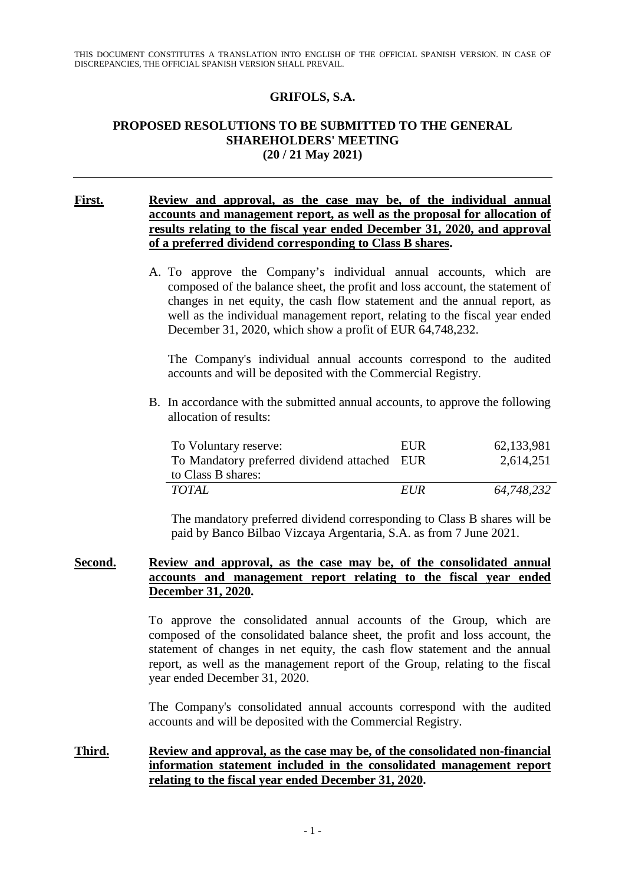## **GRIFOLS, S.A.**

### **PROPOSED RESOLUTIONS TO BE SUBMITTED TO THE GENERAL SHAREHOLDERS' MEETING (20 / 21 May 2021)**

### **First. Review and approval, as the case may be, of the individual annual accounts and management report, as well as the proposal for allocation of results relating to the fiscal year ended December 31, 2020, and approval of a preferred dividend corresponding to Class B shares.**

A. To approve the Company's individual annual accounts, which are composed of the balance sheet, the profit and loss account, the statement of changes in net equity, the cash flow statement and the annual report, as well as the individual management report, relating to the fiscal year ended December 31, 2020, which show a profit of EUR 64,748,232.

The Company's individual annual accounts correspond to the audited accounts and will be deposited with the Commercial Registry.

B. In accordance with the submitted annual accounts, to approve the following allocation of results:

| To Voluntary reserve:                        | EUR        | 62,133,981 |
|----------------------------------------------|------------|------------|
| To Mandatory preferred dividend attached EUR |            | 2,614,251  |
| to Class B shares:                           |            |            |
| <i>TOTAL</i>                                 | <i>EUR</i> | 64,748,232 |

The mandatory preferred dividend corresponding to Class B shares will be paid by Banco Bilbao Vizcaya Argentaria, S.A. as from 7 June 2021.

### **Second. Review and approval, as the case may be, of the consolidated annual accounts and management report relating to the fiscal year ended December 31, 2020.**

To approve the consolidated annual accounts of the Group, which are composed of the consolidated balance sheet, the profit and loss account, the statement of changes in net equity, the cash flow statement and the annual report, as well as the management report of the Group, relating to the fiscal year ended December 31, 2020.

The Company's consolidated annual accounts correspond with the audited accounts and will be deposited with the Commercial Registry.

## **Third. Review and approval, as the case may be, of the consolidated non-financial information statement included in the consolidated management report relating to the fiscal year ended December 31, 2020.**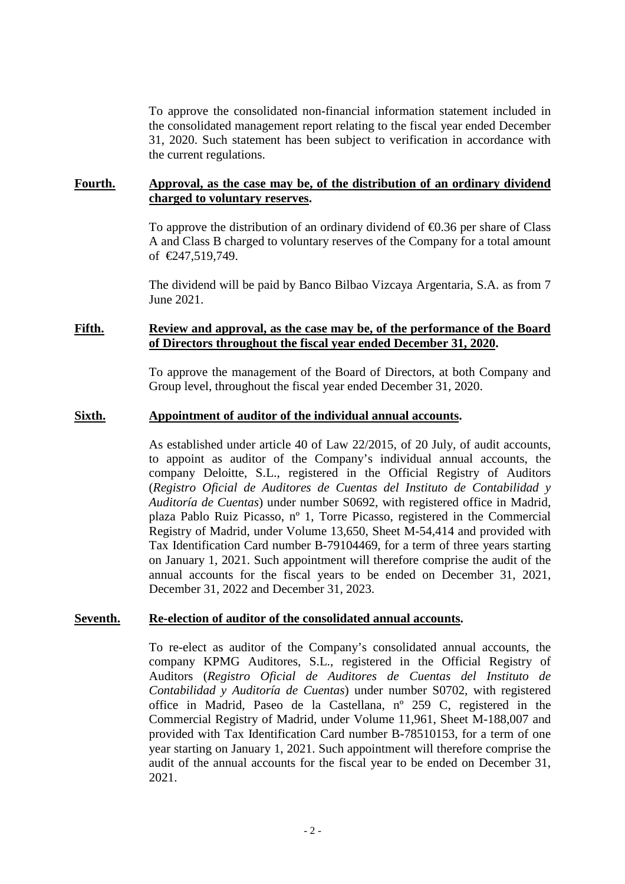To approve the consolidated non-financial information statement included in the consolidated management report relating to the fiscal year ended December 31, 2020. Such statement has been subject to verification in accordance with the current regulations.

### **Fourth. Approval, as the case may be, of the distribution of an ordinary dividend charged to voluntary reserves.**

To approve the distribution of an ordinary dividend of €0.36 per share of Class A and Class B charged to voluntary reserves of the Company for a total amount of €247,519,749.

The dividend will be paid by Banco Bilbao Vizcaya Argentaria, S.A. as from 7 June 2021.

#### **Fifth. Review and approval, as the case may be, of the performance of the Board of Directors throughout the fiscal year ended December 31, 2020.**

To approve the management of the Board of Directors, at both Company and Group level, throughout the fiscal year ended December 31, 2020.

#### **Sixth. Appointment of auditor of the individual annual accounts.**

As established under article 40 of Law 22/2015, of 20 July, of audit accounts, to appoint as auditor of the Company's individual annual accounts, the company Deloitte, S.L., registered in the Official Registry of Auditors (*Registro Oficial de Auditores de Cuentas del Instituto de Contabilidad y Auditoría de Cuentas*) under number S0692, with registered office in Madrid, plaza Pablo Ruiz Picasso, nº 1, Torre Picasso, registered in the Commercial Registry of Madrid, under Volume 13,650, Sheet M-54,414 and provided with Tax Identification Card number B-79104469, for a term of three years starting on January 1, 2021. Such appointment will therefore comprise the audit of the annual accounts for the fiscal years to be ended on December 31, 2021, December 31, 2022 and December 31, 2023.

#### **Seventh. Re-election of auditor of the consolidated annual accounts.**

To re-elect as auditor of the Company's consolidated annual accounts, the company KPMG Auditores, S.L., registered in the Official Registry of Auditors (*Registro Oficial de Auditores de Cuentas del Instituto de Contabilidad y Auditoría de Cuentas*) under number S0702, with registered office in Madrid, Paseo de la Castellana, nº 259 C, registered in the Commercial Registry of Madrid, under Volume 11,961, Sheet M-188,007 and provided with Tax Identification Card number B-78510153, for a term of one year starting on January 1, 2021. Such appointment will therefore comprise the audit of the annual accounts for the fiscal year to be ended on December 31, 2021.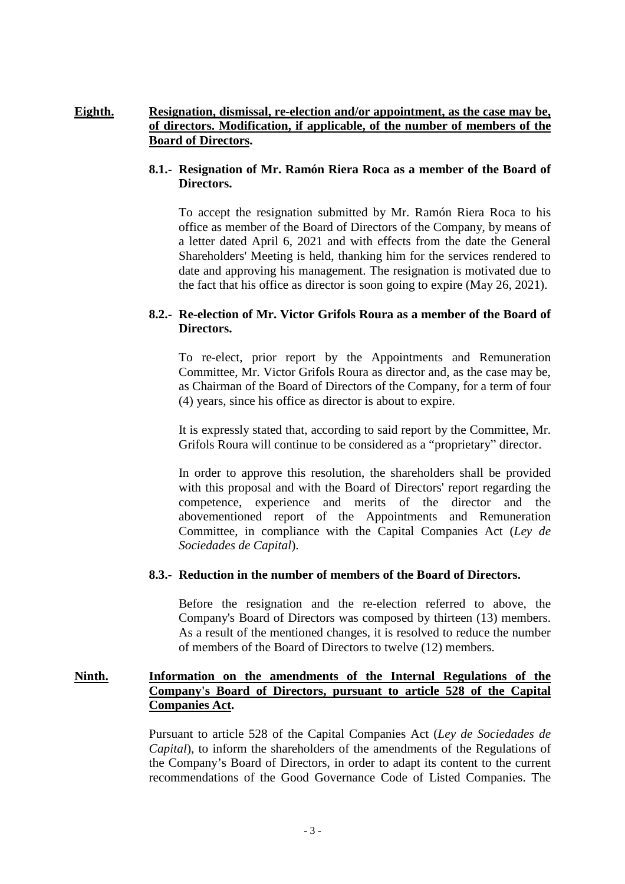# **Eighth. Resignation, dismissal, re-election and/or appointment, as the case may be, of directors. Modification, if applicable, of the number of members of the Board of Directors.**

## **8.1.- Resignation of Mr. Ramón Riera Roca as a member of the Board of Directors.**

 To accept the resignation submitted by Mr. Ramón Riera Roca to his office as member of the Board of Directors of the Company, by means of a letter dated April 6, 2021 and with effects from the date the General Shareholders' Meeting is held, thanking him for the services rendered to date and approving his management. The resignation is motivated due to the fact that his office as director is soon going to expire (May 26, 2021).

# **8.2.- Re-election of Mr. Victor Grifols Roura as a member of the Board of Directors.**

To re-elect, prior report by the Appointments and Remuneration Committee, Mr. Victor Grifols Roura as director and, as the case may be, as Chairman of the Board of Directors of the Company, for a term of four (4) years, since his office as director is about to expire.

It is expressly stated that, according to said report by the Committee, Mr. Grifols Roura will continue to be considered as a "proprietary" director.

In order to approve this resolution, the shareholders shall be provided with this proposal and with the Board of Directors' report regarding the competence, experience and merits of the director and the abovementioned report of the Appointments and Remuneration Committee, in compliance with the Capital Companies Act (*Ley de Sociedades de Capital*).

# **8.3.- Reduction in the number of members of the Board of Directors.**

Before the resignation and the re-election referred to above, the Company's Board of Directors was composed by thirteen (13) members. As a result of the mentioned changes, it is resolved to reduce the number of members of the Board of Directors to twelve (12) members.

## **Ninth. Information on the amendments of the Internal Regulations of the Company's Board of Directors, pursuant to article 528 of the Capital Companies Act.**

Pursuant to article 528 of the Capital Companies Act (*Ley de Sociedades de Capital*), to inform the shareholders of the amendments of the Regulations of the Company's Board of Directors, in order to adapt its content to the current recommendations of the Good Governance Code of Listed Companies. The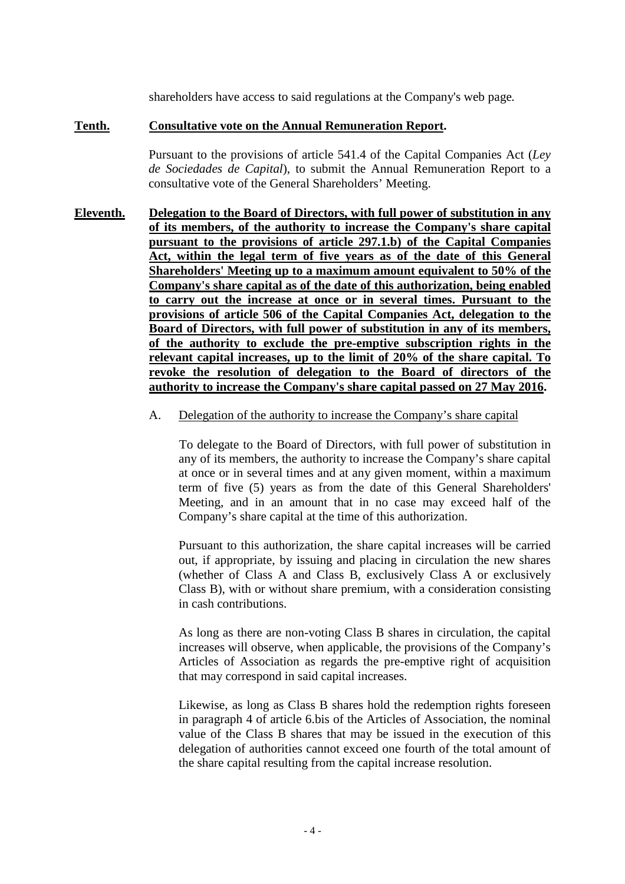shareholders have access to said regulations at the Company's web page*.* 

### **Tenth. Consultative vote on the Annual Remuneration Report.**

Pursuant to the provisions of article 541.4 of the Capital Companies Act (*Ley de Sociedades de Capital*), to submit the Annual Remuneration Report to a consultative vote of the General Shareholders' Meeting.

- **Eleventh. Delegation to the Board of Directors, with full power of substitution in any of its members, of the authority to increase the Company's share capital pursuant to the provisions of article 297.1.b) of the Capital Companies Act, within the legal term of five years as of the date of this General Shareholders' Meeting up to a maximum amount equivalent to 50% of the Company's share capital as of the date of this authorization, being enabled to carry out the increase at once or in several times. Pursuant to the provisions of article 506 of the Capital Companies Act, delegation to the Board of Directors, with full power of substitution in any of its members, of the authority to exclude the pre-emptive subscription rights in the relevant capital increases, up to the limit of 20% of the share capital. To revoke the resolution of delegation to the Board of directors of the authority to increase the Company's share capital passed on 27 May 2016.** 
	- A. Delegation of the authority to increase the Company's share capital

To delegate to the Board of Directors, with full power of substitution in any of its members, the authority to increase the Company's share capital at once or in several times and at any given moment, within a maximum term of five (5) years as from the date of this General Shareholders' Meeting, and in an amount that in no case may exceed half of the Company's share capital at the time of this authorization.

Pursuant to this authorization, the share capital increases will be carried out, if appropriate, by issuing and placing in circulation the new shares (whether of Class A and Class B, exclusively Class A or exclusively Class B), with or without share premium, with a consideration consisting in cash contributions.

As long as there are non-voting Class B shares in circulation, the capital increases will observe, when applicable, the provisions of the Company's Articles of Association as regards the pre-emptive right of acquisition that may correspond in said capital increases.

Likewise, as long as Class B shares hold the redemption rights foreseen in paragraph 4 of article 6.bis of the Articles of Association, the nominal value of the Class B shares that may be issued in the execution of this delegation of authorities cannot exceed one fourth of the total amount of the share capital resulting from the capital increase resolution.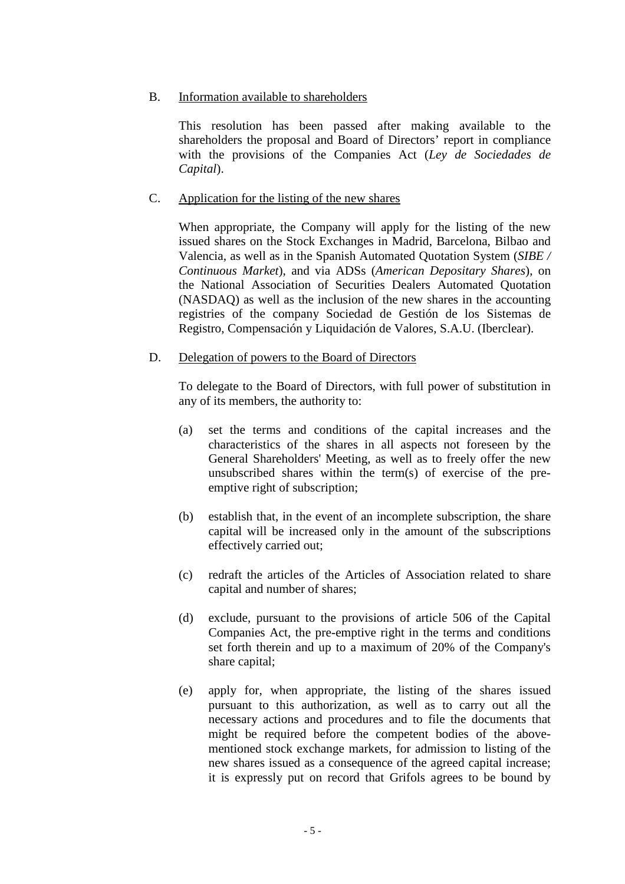# B. Information available to shareholders

This resolution has been passed after making available to the shareholders the proposal and Board of Directors' report in compliance with the provisions of the Companies Act (*Ley de Sociedades de Capital*).

# C. Application for the listing of the new shares

When appropriate, the Company will apply for the listing of the new issued shares on the Stock Exchanges in Madrid, Barcelona, Bilbao and Valencia, as well as in the Spanish Automated Quotation System (*SIBE / Continuous Market*), and via ADSs (*American Depositary Shares*), on the National Association of Securities Dealers Automated Quotation (NASDAQ) as well as the inclusion of the new shares in the accounting registries of the company Sociedad de Gestión de los Sistemas de Registro, Compensación y Liquidación de Valores, S.A.U. (Iberclear).

# D. Delegation of powers to the Board of Directors

To delegate to the Board of Directors, with full power of substitution in any of its members, the authority to:

- (a) set the terms and conditions of the capital increases and the characteristics of the shares in all aspects not foreseen by the General Shareholders' Meeting, as well as to freely offer the new unsubscribed shares within the term(s) of exercise of the preemptive right of subscription;
- (b) establish that, in the event of an incomplete subscription, the share capital will be increased only in the amount of the subscriptions effectively carried out;
- (c) redraft the articles of the Articles of Association related to share capital and number of shares;
- (d) exclude, pursuant to the provisions of article 506 of the Capital Companies Act, the pre-emptive right in the terms and conditions set forth therein and up to a maximum of 20% of the Company's share capital;
- (e) apply for, when appropriate, the listing of the shares issued pursuant to this authorization, as well as to carry out all the necessary actions and procedures and to file the documents that might be required before the competent bodies of the abovementioned stock exchange markets, for admission to listing of the new shares issued as a consequence of the agreed capital increase; it is expressly put on record that Grifols agrees to be bound by